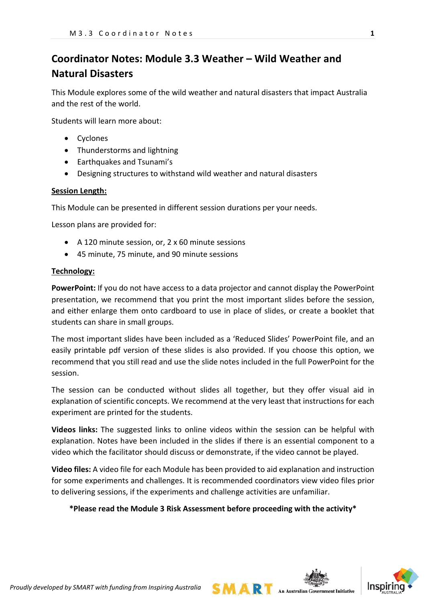# **Coordinator Notes: Module 3.3 Weather – Wild Weather and Natural Disasters**

This Module explores some of the wild weather and natural disasters that impact Australia and the rest of the world.

Students will learn more about:

- Cyclones
- Thunderstorms and lightning
- Earthquakes and Tsunami's
- Designing structures to withstand wild weather and natural disasters

#### **Session Length:**

This Module can be presented in different session durations per your needs.

Lesson plans are provided for:

- A 120 minute session, or, 2 x 60 minute sessions
- 45 minute, 75 minute, and 90 minute sessions

#### **Technology:**

**PowerPoint:** If you do not have access to a data projector and cannot display the PowerPoint presentation, we recommend that you print the most important slides before the session, and either enlarge them onto cardboard to use in place of slides, or create a booklet that students can share in small groups.

The most important slides have been included as a 'Reduced Slides' PowerPoint file, and an easily printable pdf version of these slides is also provided. If you choose this option, we recommend that you still read and use the slide notes included in the full PowerPoint for the session.

The session can be conducted without slides all together, but they offer visual aid in explanation of scientific concepts. We recommend at the very least that instructions for each experiment are printed for the students.

**Videos links:** The suggested links to online videos within the session can be helpful with explanation. Notes have been included in the slides if there is an essential component to a video which the facilitator should discuss or demonstrate, if the video cannot be played.

**Video files:** A video file for each Module has been provided to aid explanation and instruction for some experiments and challenges. It is recommended coordinators view video files prior to delivering sessions, if the experiments and challenge activities are unfamiliar.

### **\*Please read the Module 3 Risk Assessment before proceeding with the activity\***

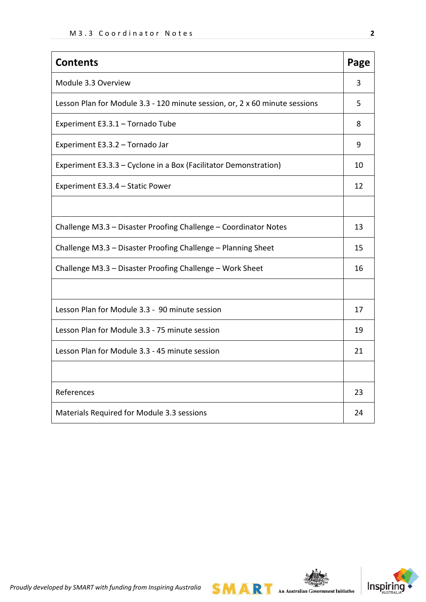| <b>Contents</b>                                                             | Page |  |  |  |
|-----------------------------------------------------------------------------|------|--|--|--|
| Module 3.3 Overview                                                         | 3    |  |  |  |
| Lesson Plan for Module 3.3 - 120 minute session, or, 2 x 60 minute sessions | 5    |  |  |  |
| Experiment E3.3.1 - Tornado Tube                                            | 8    |  |  |  |
| Experiment E3.3.2 - Tornado Jar                                             | 9    |  |  |  |
| Experiment E3.3.3 - Cyclone in a Box (Facilitator Demonstration)            | 10   |  |  |  |
| Experiment E3.3.4 - Static Power                                            | 12   |  |  |  |
|                                                                             |      |  |  |  |
| Challenge M3.3 - Disaster Proofing Challenge - Coordinator Notes            |      |  |  |  |
| Challenge M3.3 - Disaster Proofing Challenge - Planning Sheet               |      |  |  |  |
| Challenge M3.3 - Disaster Proofing Challenge - Work Sheet                   |      |  |  |  |
|                                                                             |      |  |  |  |
| Lesson Plan for Module 3.3 - 90 minute session                              |      |  |  |  |
| Lesson Plan for Module 3.3 - 75 minute session                              |      |  |  |  |
| Lesson Plan for Module 3.3 - 45 minute session                              |      |  |  |  |
|                                                                             |      |  |  |  |
| References                                                                  | 23   |  |  |  |
| Materials Required for Module 3.3 sessions                                  | 24   |  |  |  |



**SMART** An Australian Government Initiative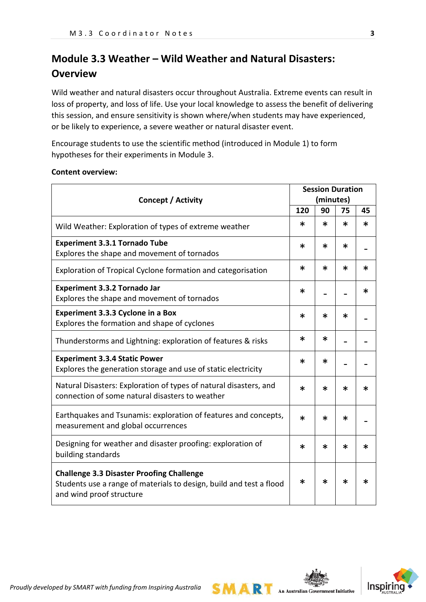# **Module 3.3 Weather – Wild Weather and Natural Disasters: Overview**

Wild weather and natural disasters occur throughout Australia. Extreme events can result in loss of property, and loss of life. Use your local knowledge to assess the benefit of delivering this session, and ensure sensitivity is shown where/when students may have experienced, or be likely to experience, a severe weather or natural disaster event.

Encourage students to use the scientific method (introduced in Module 1) to form hypotheses for their experiments in Module 3.

#### **Content overview:**

|                                                                                                                                                     |        | <b>Session Duration</b> |        |        |  |
|-----------------------------------------------------------------------------------------------------------------------------------------------------|--------|-------------------------|--------|--------|--|
| <b>Concept / Activity</b>                                                                                                                           |        | (minutes)               |        |        |  |
|                                                                                                                                                     | 120    | 90                      | 75     | 45     |  |
| Wild Weather: Exploration of types of extreme weather                                                                                               | $\ast$ | *                       | $\ast$ | $\ast$ |  |
| <b>Experiment 3.3.1 Tornado Tube</b><br>Explores the shape and movement of tornados                                                                 | $\ast$ | $\ast$                  | $\ast$ |        |  |
| Exploration of Tropical Cyclone formation and categorisation                                                                                        | ∗      | *                       | $\ast$ | $\ast$ |  |
| <b>Experiment 3.3.2 Tornado Jar</b><br>Explores the shape and movement of tornados                                                                  | $\ast$ |                         |        | $\ast$ |  |
| Experiment 3.3.3 Cyclone in a Box<br>Explores the formation and shape of cyclones                                                                   | $\ast$ | $\ast$                  | $\ast$ |        |  |
| Thunderstorms and Lightning: exploration of features & risks                                                                                        | ∗      | $\ast$                  |        |        |  |
| <b>Experiment 3.3.4 Static Power</b><br>Explores the generation storage and use of static electricity                                               | $\ast$ | $\ast$                  |        |        |  |
| Natural Disasters: Exploration of types of natural disasters, and<br>connection of some natural disasters to weather                                | $\ast$ | $\ast$                  | $\ast$ | $\ast$ |  |
| Earthquakes and Tsunamis: exploration of features and concepts,<br>measurement and global occurrences                                               | *      | $\ast$                  | $\ast$ |        |  |
| Designing for weather and disaster proofing: exploration of<br>building standards                                                                   | ∗      | ∗                       | $\ast$ | $\ast$ |  |
| <b>Challenge 3.3 Disaster Proofing Challenge</b><br>Students use a range of materials to design, build and test a flood<br>and wind proof structure | $\ast$ | ∗                       | ∗      | ∗      |  |

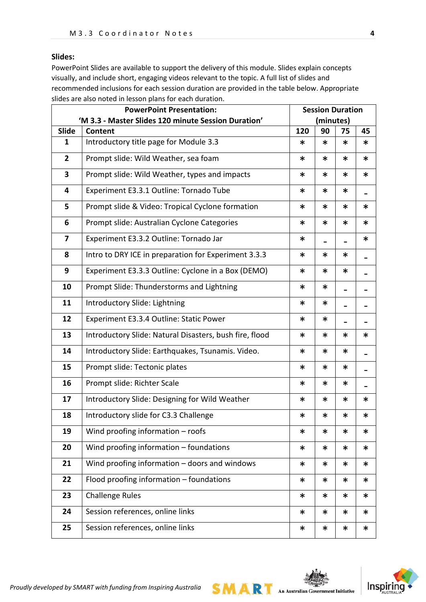#### **Slides:**

PowerPoint Slides are available to support the delivery of this module. Slides explain concepts visually, and include short, engaging videos relevant to the topic. A full list of slides and recommended inclusions for each session duration are provided in the table below. Appropriate slides are also noted in lesson plans for each duration.

| <b>PowerPoint Presentation:</b> |                                                                        |        | <b>Session Duration</b> |        |        |
|---------------------------------|------------------------------------------------------------------------|--------|-------------------------|--------|--------|
|                                 | 'M 3.3 - Master Slides 120 minute Session Duration'                    |        |                         |        |        |
| Slide                           | Content                                                                | 120    | 90                      | 75     | 45     |
| $\mathbf{1}$                    | Introductory title page for Module 3.3                                 | ∗      | ∗                       | ∗      | ∗      |
| $\overline{2}$                  | Prompt slide: Wild Weather, sea foam                                   | ∗      | ∗                       | *      | ∗      |
| $\overline{\mathbf{3}}$         | Prompt slide: Wild Weather, types and impacts                          | ∗      | ∗                       | *      | ∗      |
| 4                               | Experiment E3.3.1 Outline: Tornado Tube                                | ∗      | ∗                       | *      |        |
| 5                               | Prompt slide & Video: Tropical Cyclone formation                       | $\ast$ | ∗                       | *      | ∗      |
| 6                               | Prompt slide: Australian Cyclone Categories                            | $\ast$ | ∗                       | *      | ∗      |
| 7                               | Experiment E3.3.2 Outline: Tornado Jar                                 | $\ast$ |                         |        | *      |
| 8                               | Intro to DRY ICE in preparation for Experiment 3.3.3                   | $\ast$ | $\ast$                  | *      |        |
| 9                               | Experiment E3.3.3 Outline: Cyclone in a Box (DEMO)<br>$\ast$<br>$\ast$ |        |                         |        |        |
| 10                              | Prompt Slide: Thunderstorms and Lightning                              | $\ast$ | $\ast$                  |        |        |
| 11                              | Introductory Slide: Lightning                                          | $\ast$ | ∗                       |        |        |
| 12                              | Experiment E3.3.4 Outline: Static Power<br>∗                           |        |                         |        |        |
| 13                              | Introductory Slide: Natural Disasters, bush fire, flood<br>$\ast$      |        | $\ast$                  | *      | ∗      |
| 14                              | Introductory Slide: Earthquakes, Tsunamis. Video.<br>$\ast$<br>$\ast$  |        |                         |        |        |
| 15                              | Prompt slide: Tectonic plates<br>$\ast$<br>∗                           |        |                         |        |        |
| 16                              | Prompt slide: Richter Scale                                            | $\ast$ | $\ast$                  | $\ast$ |        |
| 17                              | Introductory Slide: Designing for Wild Weather                         | $\ast$ | $\ast$                  | $\ast$ | ∗      |
| 18                              | Introductory slide for C3.3 Challenge                                  | ∗      | $\ast$                  | *      | *      |
| 19                              | Wind proofing information $-$ roofs                                    | ∗      | ∗                       | ∗      | *      |
| 20                              | Wind proofing information - foundations                                | $\ast$ | ∗                       | *      | ∗      |
| 21                              | Wind proofing information - doors and windows                          | $\ast$ | ∗                       | ∗      | ∗      |
| 22                              | Flood proofing information - foundations                               | $\ast$ | $\ast$                  | $\ast$ | $\ast$ |
| 23                              | <b>Challenge Rules</b>                                                 | $\ast$ | ∗                       | ∗      | ∗      |
| 24                              | Session references, online links                                       | $\ast$ | ∗                       | *      | ∗      |
| 25                              | Session references, online links                                       | $\ast$ | $\ast$                  | $\ast$ | $\ast$ |

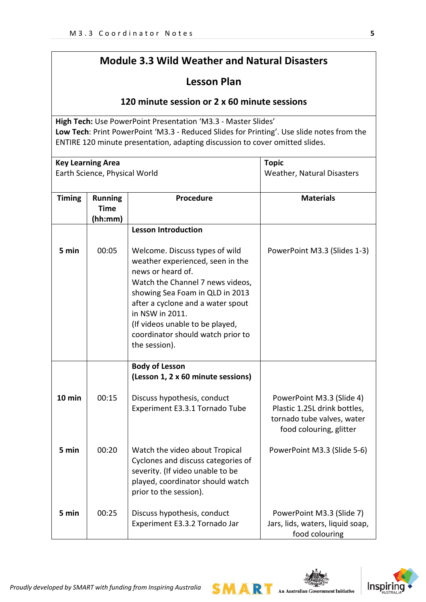# **Module 3.3 Wild Weather and Natural Disasters**

## **Lesson Plan**

## **120 minute session or 2 x 60 minute sessions**

**High Tech:** Use PowerPoint Presentation 'M3.3 - Master Slides' **Low Tech**: Print PowerPoint 'M3.3 - Reduced Slides for Printing'. Use slide notes from the ENTIRE 120 minute presentation, adapting discussion to cover omitted slides.

| <b>Key Learning Area</b><br>Earth Science, Physical World |                                          |                                                                                                                                                                                                                                                                                                                 | <b>Topic</b><br>Weather, Natural Disasters                                                                         |
|-----------------------------------------------------------|------------------------------------------|-----------------------------------------------------------------------------------------------------------------------------------------------------------------------------------------------------------------------------------------------------------------------------------------------------------------|--------------------------------------------------------------------------------------------------------------------|
| <b>Timing</b>                                             | <b>Running</b><br><b>Time</b><br>(hh:mm) | <b>Procedure</b>                                                                                                                                                                                                                                                                                                | <b>Materials</b>                                                                                                   |
|                                                           |                                          | <b>Lesson Introduction</b>                                                                                                                                                                                                                                                                                      |                                                                                                                    |
| 5 min                                                     | 00:05                                    | Welcome. Discuss types of wild<br>weather experienced, seen in the<br>news or heard of.<br>Watch the Channel 7 news videos,<br>showing Sea Foam in QLD in 2013<br>after a cyclone and a water spout<br>in NSW in 2011.<br>(If videos unable to be played,<br>coordinator should watch prior to<br>the session). | PowerPoint M3.3 (Slides 1-3)                                                                                       |
|                                                           |                                          | <b>Body of Lesson</b><br>(Lesson 1, 2 x 60 minute sessions)                                                                                                                                                                                                                                                     |                                                                                                                    |
| 10 min                                                    | 00:15                                    | Discuss hypothesis, conduct<br>Experiment E3.3.1 Tornado Tube                                                                                                                                                                                                                                                   | PowerPoint M3.3 (Slide 4)<br>Plastic 1.25L drink bottles,<br>tornado tube valves, water<br>food colouring, glitter |
| 5 min                                                     | 00:20                                    | Watch the video about Tropical<br>Cyclones and discuss categories of<br>severity. (If video unable to be<br>played, coordinator should watch<br>prior to the session).                                                                                                                                          | PowerPoint M3.3 (Slide 5-6)                                                                                        |
| 5 min                                                     | 00:25                                    | Discuss hypothesis, conduct<br>Experiment E3.3.2 Tornado Jar                                                                                                                                                                                                                                                    | PowerPoint M3.3 (Slide 7)<br>Jars, lids, waters, liquid soap,<br>food colouring                                    |

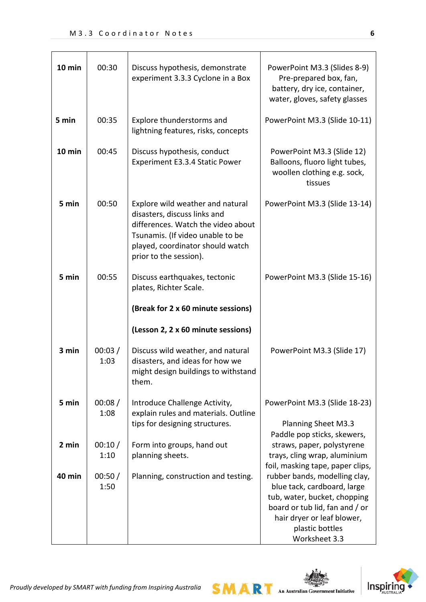| 10 min | 00:30          | Discuss hypothesis, demonstrate<br>experiment 3.3.3 Cyclone in a Box                                                                                                                                     | PowerPoint M3.3 (Slides 8-9)<br>Pre-prepared box, fan,<br>battery, dry ice, container,<br>water, gloves, safety glasses                                                                          |
|--------|----------------|----------------------------------------------------------------------------------------------------------------------------------------------------------------------------------------------------------|--------------------------------------------------------------------------------------------------------------------------------------------------------------------------------------------------|
| 5 min  | 00:35          | Explore thunderstorms and<br>lightning features, risks, concepts                                                                                                                                         | PowerPoint M3.3 (Slide 10-11)                                                                                                                                                                    |
| 10 min | 00:45          | Discuss hypothesis, conduct<br>Experiment E3.3.4 Static Power                                                                                                                                            | PowerPoint M3.3 (Slide 12)<br>Balloons, fluoro light tubes,<br>woollen clothing e.g. sock,<br>tissues                                                                                            |
| 5 min  | 00:50          | Explore wild weather and natural<br>disasters, discuss links and<br>differences. Watch the video about<br>Tsunamis. (If video unable to be<br>played, coordinator should watch<br>prior to the session). | PowerPoint M3.3 (Slide 13-14)                                                                                                                                                                    |
| 5 min  | 00:55          | Discuss earthquakes, tectonic<br>plates, Richter Scale.<br>(Break for 2 x 60 minute sessions)                                                                                                            | PowerPoint M3.3 (Slide 15-16)                                                                                                                                                                    |
|        |                | (Lesson 2, 2 x 60 minute sessions)                                                                                                                                                                       |                                                                                                                                                                                                  |
| 3 min  | 00:03/<br>1:03 | Discuss wild weather, and natural<br>disasters, and ideas for how we<br>might design buildings to withstand<br>them.                                                                                     | PowerPoint M3.3 (Slide 17)                                                                                                                                                                       |
| 5 min  | 00:08/<br>1:08 | Introduce Challenge Activity,<br>explain rules and materials. Outline<br>tips for designing structures.                                                                                                  | PowerPoint M3.3 (Slide 18-23)<br><b>Planning Sheet M3.3</b><br>Paddle pop sticks, skewers,                                                                                                       |
| 2 min  | 00:10/<br>1:10 | Form into groups, hand out<br>planning sheets.                                                                                                                                                           | straws, paper, polystyrene<br>trays, cling wrap, aluminium<br>foil, masking tape, paper clips,                                                                                                   |
| 40 min | 00:50/<br>1:50 | Planning, construction and testing.                                                                                                                                                                      | rubber bands, modelling clay,<br>blue tack, cardboard, large<br>tub, water, bucket, chopping<br>board or tub lid, fan and / or<br>hair dryer or leaf blower,<br>plastic bottles<br>Worksheet 3.3 |

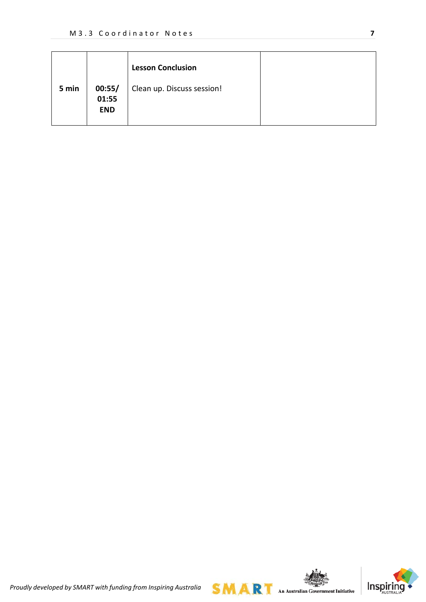|       |                               | <b>Lesson Conclusion</b>   |  |
|-------|-------------------------------|----------------------------|--|
| 5 min | 00:55/<br>01:55<br><b>END</b> | Clean up. Discuss session! |  |



*Proudly developed by SMART with funding from Inspiring Australia*

**SMART** An Australian Government Initiative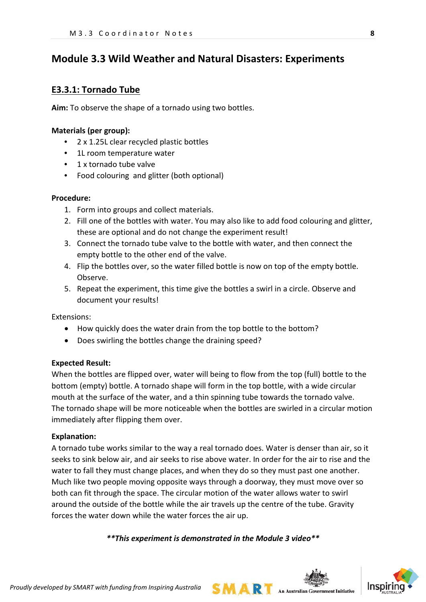## **Module 3.3 Wild Weather and Natural Disasters: Experiments**

### **E3.3.1: Tornado Tube**

**Aim:** To observe the shape of a tornado using two bottles.

#### **Materials (per group):**

- 2 x 1.25L clear recycled plastic bottles
- 1L room temperature water
- 1 x tornado tube valve
- Food colouring and glitter (both optional)

#### **Procedure:**

- 1. Form into groups and collect materials.
- 2. Fill one of the bottles with water. You may also like to add food colouring and glitter, these are optional and do not change the experiment result!
- 3. Connect the tornado tube valve to the bottle with water, and then connect the empty bottle to the other end of the valve.
- 4. Flip the bottles over, so the water filled bottle is now on top of the empty bottle. Observe.
- 5. Repeat the experiment, this time give the bottles a swirl in a circle. Observe and document your results!

Extensions:

- How quickly does the water drain from the top bottle to the bottom?
- Does swirling the bottles change the draining speed?

#### **Expected Result:**

When the bottles are flipped over, water will being to flow from the top (full) bottle to the bottom (empty) bottle. A tornado shape will form in the top bottle, with a wide circular mouth at the surface of the water, and a thin spinning tube towards the tornado valve. The tornado shape will be more noticeable when the bottles are swirled in a circular motion immediately after flipping them over.

#### **Explanation:**

A tornado tube works similar to the way a real tornado does. Water is denser than air, so it seeks to sink below air, and air seeks to rise above water. In order for the air to rise and the water to fall they must change places, and when they do so they must past one another. Much like two people moving opposite ways through a doorway, they must move over so both can fit through the space. The circular motion of the water allows water to swirl around the outside of the bottle while the air travels up the centre of the tube. Gravity forces the water down while the water forces the air up.

*\*\*This experiment is demonstrated in the Module 3 video\*\**

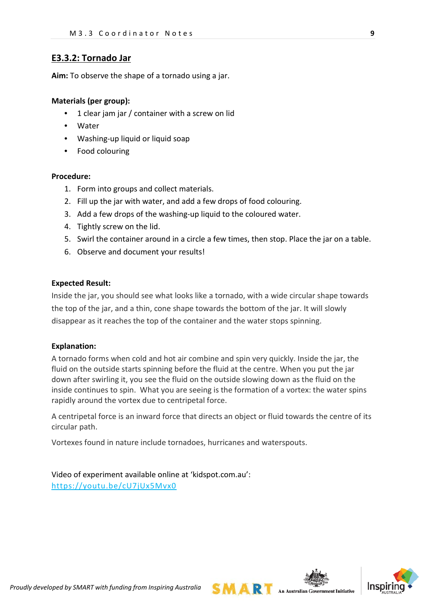## **E3.3.2: Tornado Jar**

**Aim:** To observe the shape of a tornado using a jar.

#### **Materials (per group):**

- 1 clear jam jar / container with a screw on lid
- Water
- Washing-up liquid or liquid soap
- Food colouring

#### **Procedure:**

- 1. Form into groups and collect materials.
- 2. Fill up the jar with water, and add a few drops of food colouring.
- 3. Add a few drops of the washing-up liquid to the coloured water.
- 4. Tightly screw on the lid.
- 5. Swirl the container around in a circle a few times, then stop. Place the jar on a table.
- 6. Observe and document your results!

#### **Expected Result:**

Inside the jar, you should see what looks like a tornado, with a wide circular shape towards the top of the jar, and a thin, cone shape towards the bottom of the jar. It will slowly disappear as it reaches the top of the container and the water stops spinning.

#### **Explanation:**

A tornado forms when cold and hot air combine and spin very quickly. Inside the jar, the fluid on the outside starts spinning before the fluid at the centre. When you put the jar down after swirling it, you see the fluid on the outside slowing down as the fluid on the inside continues to spin. What you are seeing is the formation of a vortex: the water spins rapidly around the vortex due to centripetal force.

A centripetal force is an inward force that directs an object or fluid towards the centre of its circular path.

Vortexes found in nature include tornadoes, hurricanes and waterspouts.

Video of experiment available online at 'kidspot.com.au': <https://youtu.be/cU7jUx5Mvx0>



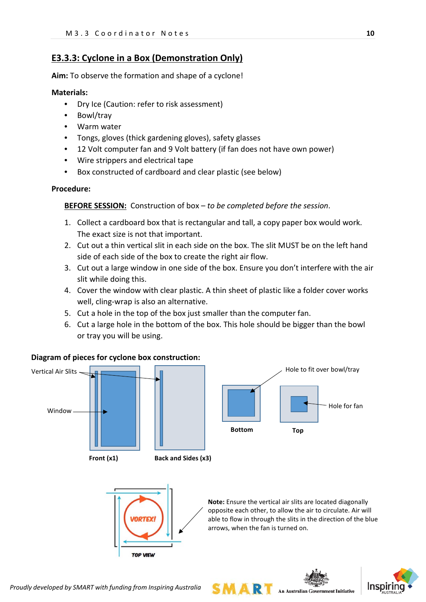## **E3.3.3: Cyclone in a Box (Demonstration Only)**

**Aim:** To observe the formation and shape of a cyclone!

#### **Materials:**

- Dry Ice (Caution: refer to risk assessment)
- Bowl/tray
- Warm water
- Tongs, gloves (thick gardening gloves), safety glasses
- 12 Volt computer fan and 9 Volt battery (if fan does not have own power)
- Wire strippers and electrical tape
- Box constructed of cardboard and clear plastic (see below)

#### **Procedure:**

**BEFORE SESSION:** Construction of box – *to be completed before the session*.

- 1. Collect a cardboard box that is rectangular and tall, a copy paper box would work. The exact size is not that important.
- 2. Cut out a thin vertical slit in each side on the box. The slit MUST be on the left hand side of each side of the box to create the right air flow.
- 3. Cut out a large window in one side of the box. Ensure you don't interfere with the air slit while doing this.
- 4. Cover the window with clear plastic. A thin sheet of plastic like a folder cover works well, cling-wrap is also an alternative.
- 5. Cut a hole in the top of the box just smaller than the computer fan.
- 6. Cut a large hole in the bottom of the box. This hole should be bigger than the bowl or tray you will be using.

#### **Diagram of pieces for cyclone box construction:**











*Proudly developed by SMART with funding from Inspiring Australia*

**TOP VIEW**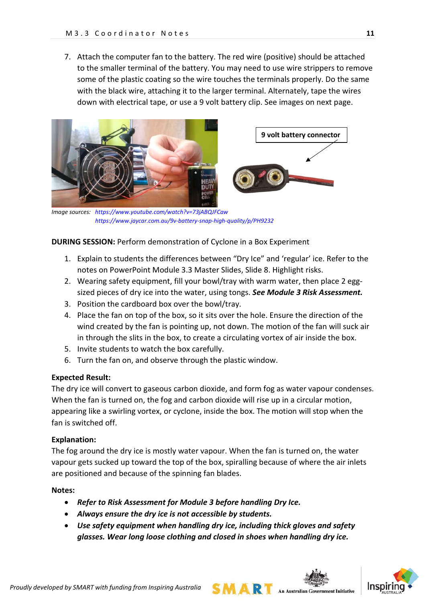7. Attach the computer fan to the battery. The red wire (positive) should be attached to the smaller terminal of the battery. You may need to use wire strippers to remove some of the plastic coating so the wire touches the terminals properly. Do the same with the black wire, attaching it to the larger terminal. Alternately, tape the wires down with electrical tape, or use a 9 volt battery clip. See images on next page.



 *Image sources: <https://www.youtube.com/watch?v=73jABQJFCaw> <https://www.jaycar.com.au/9v-battery-snap-high-quality/p/PH9232>*

#### **DURING SESSION: Perform demonstration of Cyclone in a Box Experiment**

- 1. Explain to students the differences between "Dry Ice" and 'regular' ice. Refer to the notes on PowerPoint Module 3.3 Master Slides, Slide 8. Highlight risks.
- 2. Wearing safety equipment, fill your bowl/tray with warm water, then place 2 eggsized pieces of dry ice into the water, using tongs. *See Module 3 Risk Assessment.*
- 3. Position the cardboard box over the bowl/tray.
- 4. Place the fan on top of the box, so it sits over the hole. Ensure the direction of the wind created by the fan is pointing up, not down. The motion of the fan will suck air in through the slits in the box, to create a circulating vortex of air inside the box.
- 5. Invite students to watch the box carefully.
- 6. Turn the fan on, and observe through the plastic window.

#### **Expected Result:**

The dry ice will convert to gaseous carbon dioxide, and form fog as water vapour condenses. When the fan is turned on, the fog and carbon dioxide will rise up in a circular motion, appearing like a swirling vortex, or cyclone, inside the box. The motion will stop when the fan is switched off.

#### **Explanation:**

The fog around the dry ice is mostly water vapour. When the fan is turned on, the water vapour gets sucked up toward the top of the box, spiralling because of where the air inlets are positioned and because of the spinning fan blades.

#### **Notes:**

- *Refer to Risk Assessment for Module 3 before handling Dry Ice.*
- *Always ensure the dry ice is not accessible by students.*
- *Use safety equipment when handling dry ice, including thick gloves and safety glasses. Wear long loose clothing and closed in shoes when handling dry ice.*

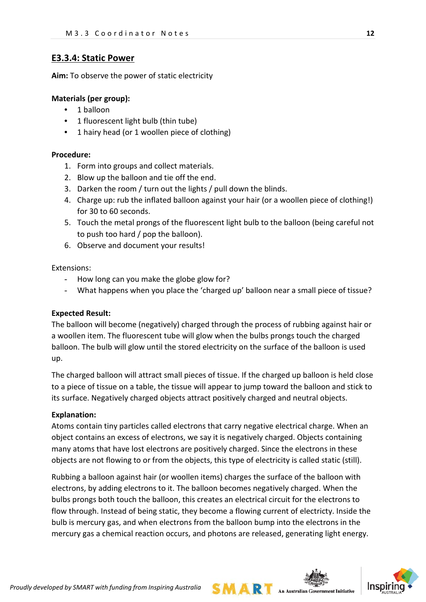## **E3.3.4: Static Power**

**Aim:** To observe the power of static electricity

#### **Materials (per group):**

- 1 balloon
- 1 fluorescent light bulb (thin tube)
- 1 hairy head (or 1 woollen piece of clothing)

#### **Procedure:**

- 1. Form into groups and collect materials.
- 2. Blow up the balloon and tie off the end.
- 3. Darken the room / turn out the lights / pull down the blinds.
- 4. Charge up: rub the inflated balloon against your hair (or a woollen piece of clothing!) for 30 to 60 seconds.
- 5. Touch the metal prongs of the fluorescent light bulb to the balloon (being careful not to push too hard / pop the balloon).
- 6. Observe and document your results!

Extensions:

- How long can you make the globe glow for?
- What happens when you place the 'charged up' balloon near a small piece of tissue?

### **Expected Result:**

The balloon will become (negatively) charged through the process of rubbing against hair or a woollen item. The fluorescent tube will glow when the bulbs prongs touch the charged balloon. The bulb will glow until the stored electricity on the surface of the balloon is used up.

The charged balloon will attract small pieces of tissue. If the charged up balloon is held close to a piece of tissue on a table, the tissue will appear to jump toward the balloon and stick to its surface. Negatively charged objects attract positively charged and neutral objects.

#### **Explanation:**

Atoms contain tiny particles called electrons that carry negative electrical charge. When an object contains an excess of electrons, we say it is negatively charged. Objects containing many atoms that have lost electrons are positively charged. Since the electrons in these objects are not flowing to or from the objects, this type of electricity is called static (still).

Rubbing a balloon against hair (or woollen items) charges the surface of the balloon with electrons, by adding electrons to it. The balloon becomes negatively charged. When the bulbs prongs both touch the balloon, this creates an electrical circuit for the electrons to flow through. Instead of being static, they become a flowing current of electricty. Inside the bulb is mercury gas, and when electrons from the balloon bump into the electrons in the mercury gas a chemical reaction occurs, and photons are released, generating light energy.



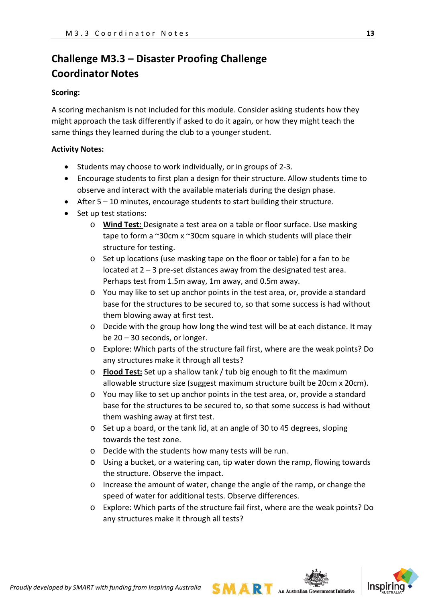# **Challenge M3.3 – Disaster Proofing Challenge Coordinator Notes**

#### **Scoring:**

A scoring mechanism is not included for this module. Consider asking students how they might approach the task differently if asked to do it again, or how they might teach the same things they learned during the club to a younger student.

#### **Activity Notes:**

- Students may choose to work individually, or in groups of 2-3.
- Encourage students to first plan a design for their structure. Allow students time to observe and interact with the available materials during the design phase.
- After 5 10 minutes, encourage students to start building their structure.
- Set up test stations:
	- o **Wind Test:** Designate a test area on a table or floor surface. Use masking tape to form a ~30cm x ~30cm square in which students will place their structure for testing.
	- o Set up locations (use masking tape on the floor or table) for a fan to be located at 2 – 3 pre-set distances away from the designated test area. Perhaps test from 1.5m away, 1m away, and 0.5m away.
	- o You may like to set up anchor points in the test area, or, provide a standard base for the structures to be secured to, so that some success is had without them blowing away at first test.
	- o Decide with the group how long the wind test will be at each distance. It may be 20 – 30 seconds, or longer.
	- o Explore: Which parts of the structure fail first, where are the weak points? Do any structures make it through all tests?
	- o **Flood Test:** Set up a shallow tank / tub big enough to fit the maximum allowable structure size (suggest maximum structure built be 20cm x 20cm).
	- o You may like to set up anchor points in the test area, or, provide a standard base for the structures to be secured to, so that some success is had without them washing away at first test.
	- o Set up a board, or the tank lid, at an angle of 30 to 45 degrees, sloping towards the test zone.
	- o Decide with the students how many tests will be run.
	- o Using a bucket, or a watering can, tip water down the ramp, flowing towards the structure. Observe the impact.
	- o Increase the amount of water, change the angle of the ramp, or change the speed of water for additional tests. Observe differences.
	- o Explore: Which parts of the structure fail first, where are the weak points? Do any structures make it through all tests?



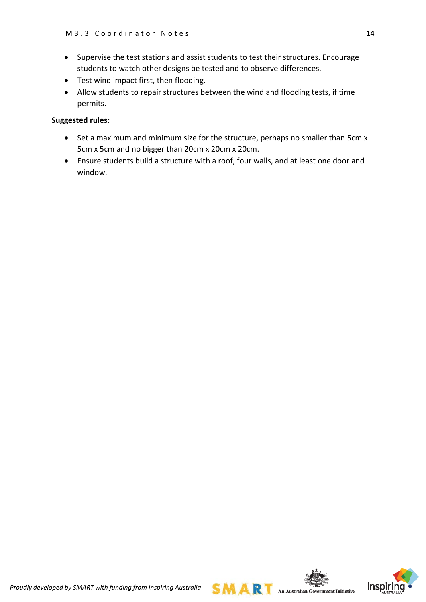- Supervise the test stations and assist students to test their structures. Encourage students to watch other designs be tested and to observe differences.
- Test wind impact first, then flooding.
- Allow students to repair structures between the wind and flooding tests, if time permits.

#### **Suggested rules:**

- Set a maximum and minimum size for the structure, perhaps no smaller than 5cm x 5cm x 5cm and no bigger than 20cm x 20cm x 20cm.
- Ensure students build a structure with a roof, four walls, and at least one door and window.

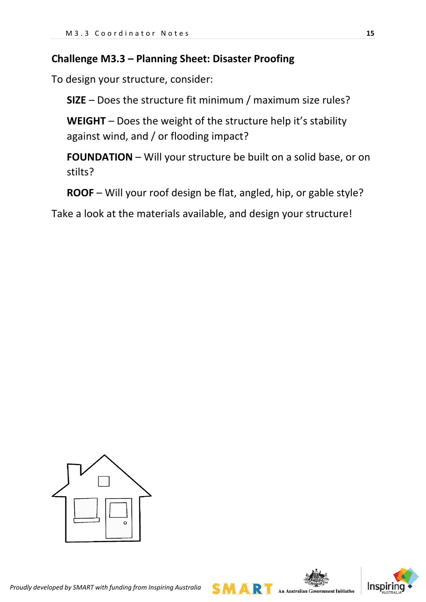## **Challenge M3.3 – Planning Sheet: Disaster Proofing**

To design your structure, consider:

**SIZE** – Does the structure fit minimum / maximum size rules?

**WEIGHT** – Does the weight of the structure help it's stability against wind, and / or flooding impact?

**FOUNDATION** – Will your structure be built on a solid base, or on stilts?

**ROOF** – Will your roof design be flat, angled, hip, or gable style?

Take a look at the materials available, and design your structure!





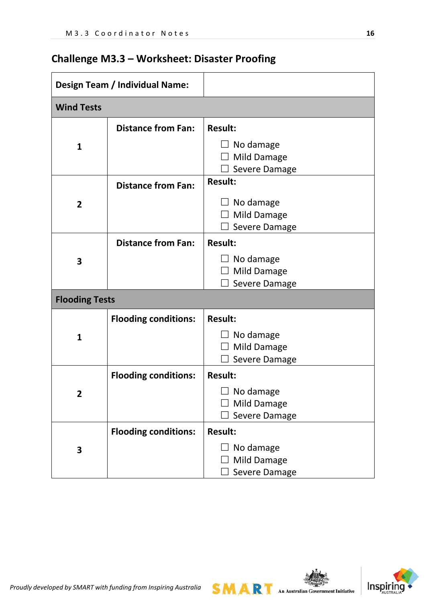|  |  | <b>Challenge M3.3 - Worksheet: Disaster Proofing</b> |  |  |
|--|--|------------------------------------------------------|--|--|
|--|--|------------------------------------------------------|--|--|

| <b>Design Team / Individual Name:</b>       |                             |                                                         |
|---------------------------------------------|-----------------------------|---------------------------------------------------------|
| <b>Wind Tests</b>                           |                             |                                                         |
|                                             | <b>Distance from Fan:</b>   | <b>Result:</b>                                          |
| 1                                           |                             | $\Box$ No damage<br><b>Mild Damage</b><br>Severe Damage |
|                                             | <b>Distance from Fan:</b>   | <b>Result:</b>                                          |
| $\overline{2}$                              |                             | $\Box$ No damage<br><b>Mild Damage</b><br>Severe Damage |
| <b>Distance from Fan:</b><br><b>Result:</b> |                             |                                                         |
| 3                                           |                             | No damage<br><b>Mild Damage</b><br>Severe Damage        |
| <b>Flooding Tests</b>                       |                             |                                                         |
|                                             | <b>Flooding conditions:</b> | <b>Result:</b>                                          |
| $\mathbf{1}$                                |                             | No damage<br>Mild Damage<br>Severe Damage               |
|                                             | <b>Flooding conditions:</b> | <b>Result:</b>                                          |
| 2                                           |                             | $\Box$ No damage<br>Mild Damage<br>Severe Damage        |
|                                             | <b>Flooding conditions:</b> | <b>Result:</b>                                          |
| 3                                           |                             | No damage<br>Mild Damage<br>Severe Damage               |

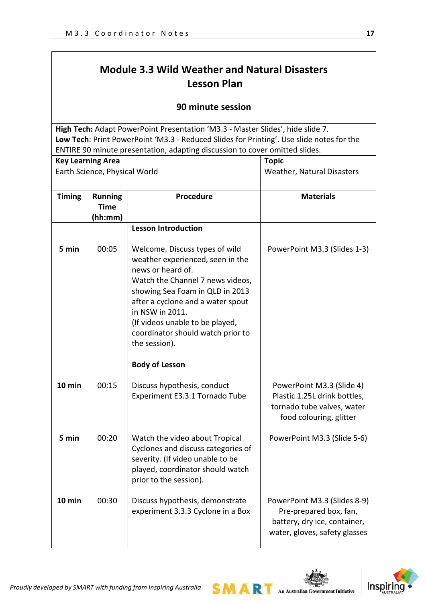# **Module 3.3 Wild Weather and Natural Disasters Lesson Plan**

## **90 minute session**

**High Tech:** Adapt PowerPoint Presentation 'M3.3 - Master Slides', hide slide 7. **Low Tech**: Print PowerPoint 'M3.3 - Reduced Slides for Printing'. Use slide notes for the ENTIRE 90 minute presentation, adapting discussion to cover omitted slides.

| <b>Key Learning Area</b> |                                          |                                                                                                                                                                                                                                                                                                                 | <b>Topic</b>                                                                                                            |
|--------------------------|------------------------------------------|-----------------------------------------------------------------------------------------------------------------------------------------------------------------------------------------------------------------------------------------------------------------------------------------------------------------|-------------------------------------------------------------------------------------------------------------------------|
|                          | Earth Science, Physical World            |                                                                                                                                                                                                                                                                                                                 | Weather, Natural Disasters                                                                                              |
| <b>Timing</b>            | <b>Running</b><br><b>Time</b><br>(hh:mm) | <b>Procedure</b>                                                                                                                                                                                                                                                                                                | <b>Materials</b>                                                                                                        |
|                          |                                          | <b>Lesson Introduction</b>                                                                                                                                                                                                                                                                                      |                                                                                                                         |
| 5 min                    | 00:05                                    | Welcome. Discuss types of wild<br>weather experienced, seen in the<br>news or heard of.<br>Watch the Channel 7 news videos,<br>showing Sea Foam in QLD in 2013<br>after a cyclone and a water spout<br>in NSW in 2011.<br>(If videos unable to be played,<br>coordinator should watch prior to<br>the session). | PowerPoint M3.3 (Slides 1-3)                                                                                            |
|                          |                                          | <b>Body of Lesson</b>                                                                                                                                                                                                                                                                                           |                                                                                                                         |
| $10$ min                 | 00:15                                    | Discuss hypothesis, conduct<br>Experiment E3.3.1 Tornado Tube                                                                                                                                                                                                                                                   | PowerPoint M3.3 (Slide 4)<br>Plastic 1.25L drink bottles,<br>tornado tube valves, water<br>food colouring, glitter      |
| 5 min                    | 00:20                                    | Watch the video about Tropical<br>Cyclones and discuss categories of<br>severity. (If video unable to be<br>played, coordinator should watch<br>prior to the session).                                                                                                                                          | PowerPoint M3.3 (Slide 5-6)                                                                                             |
| 10 min                   | 00:30                                    | Discuss hypothesis, demonstrate<br>experiment 3.3.3 Cyclone in a Box                                                                                                                                                                                                                                            | PowerPoint M3.3 (Slides 8-9)<br>Pre-prepared box, fan,<br>battery, dry ice, container,<br>water, gloves, safety glasses |

M A R

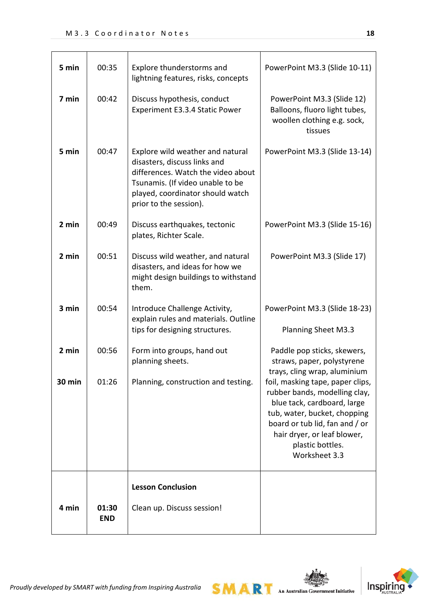| 5 min  | 00:35               | Explore thunderstorms and<br>lightning features, risks, concepts                                                                                                                                         | PowerPoint M3.3 (Slide 10-11)                                                                                                                                                                                                          |
|--------|---------------------|----------------------------------------------------------------------------------------------------------------------------------------------------------------------------------------------------------|----------------------------------------------------------------------------------------------------------------------------------------------------------------------------------------------------------------------------------------|
| 7 min  | 00:42               | Discuss hypothesis, conduct<br>Experiment E3.3.4 Static Power                                                                                                                                            | PowerPoint M3.3 (Slide 12)<br>Balloons, fluoro light tubes,<br>woollen clothing e.g. sock,<br>tissues                                                                                                                                  |
| 5 min  | 00:47               | Explore wild weather and natural<br>disasters, discuss links and<br>differences. Watch the video about<br>Tsunamis. (If video unable to be<br>played, coordinator should watch<br>prior to the session). | PowerPoint M3.3 (Slide 13-14)                                                                                                                                                                                                          |
| 2 min  | 00:49               | Discuss earthquakes, tectonic<br>plates, Richter Scale.                                                                                                                                                  | PowerPoint M3.3 (Slide 15-16)                                                                                                                                                                                                          |
| 2 min  | 00:51               | Discuss wild weather, and natural<br>disasters, and ideas for how we<br>might design buildings to withstand<br>them.                                                                                     | PowerPoint M3.3 (Slide 17)                                                                                                                                                                                                             |
| 3 min  | 00:54               | Introduce Challenge Activity,<br>explain rules and materials. Outline<br>tips for designing structures.                                                                                                  | PowerPoint M3.3 (Slide 18-23)<br><b>Planning Sheet M3.3</b>                                                                                                                                                                            |
| 2 min  | 00:56               | Form into groups, hand out<br>planning sheets.                                                                                                                                                           | Paddle pop sticks, skewers,<br>straws, paper, polystyrene<br>trays, cling wrap, aluminium                                                                                                                                              |
| 30 min | 01:26               | Planning, construction and testing.                                                                                                                                                                      | foil, masking tape, paper clips,<br>rubber bands, modelling clay,<br>blue tack, cardboard, large<br>tub, water, bucket, chopping<br>board or tub lid, fan and / or<br>hair dryer, or leaf blower,<br>plastic bottles.<br>Worksheet 3.3 |
|        |                     | <b>Lesson Conclusion</b>                                                                                                                                                                                 |                                                                                                                                                                                                                                        |
| 4 min  | 01:30<br><b>END</b> | Clean up. Discuss session!                                                                                                                                                                               |                                                                                                                                                                                                                                        |

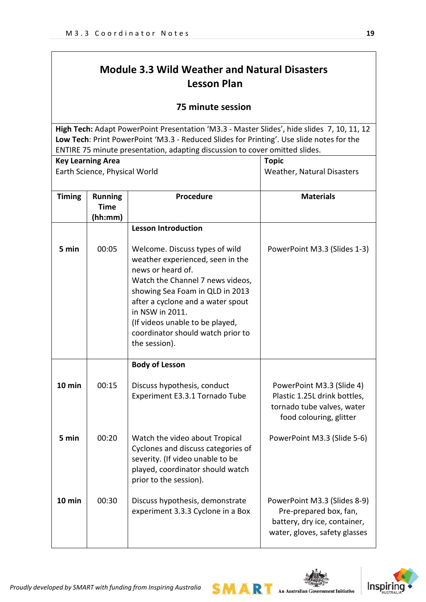# **Module 3.3 Wild Weather and Natural Disasters Lesson Plan**

## **75 minute session**

**High Tech:** Adapt PowerPoint Presentation 'M3.3 - Master Slides', hide slides 7, 10, 11, 12 **Low Tech**: Print PowerPoint 'M3.3 - Reduced Slides for Printing'. Use slide notes for the ENTIRE 75 minute presentation, adapting discussion to cover omitted slides.

| <b>Key Learning Area</b> |                                          | <b>Topic</b>                                                                                                                                                                                                                                                                                                    |                                                                                                                         |
|--------------------------|------------------------------------------|-----------------------------------------------------------------------------------------------------------------------------------------------------------------------------------------------------------------------------------------------------------------------------------------------------------------|-------------------------------------------------------------------------------------------------------------------------|
|                          | Earth Science, Physical World            |                                                                                                                                                                                                                                                                                                                 | Weather, Natural Disasters                                                                                              |
| <b>Timing</b>            | <b>Running</b><br><b>Time</b><br>(hh:mm) | <b>Procedure</b>                                                                                                                                                                                                                                                                                                | <b>Materials</b>                                                                                                        |
|                          |                                          | <b>Lesson Introduction</b>                                                                                                                                                                                                                                                                                      |                                                                                                                         |
| 5 min                    | 00:05                                    | Welcome. Discuss types of wild<br>weather experienced, seen in the<br>news or heard of.<br>Watch the Channel 7 news videos,<br>showing Sea Foam in QLD in 2013<br>after a cyclone and a water spout<br>in NSW in 2011.<br>(If videos unable to be played,<br>coordinator should watch prior to<br>the session). | PowerPoint M3.3 (Slides 1-3)                                                                                            |
|                          |                                          | <b>Body of Lesson</b>                                                                                                                                                                                                                                                                                           |                                                                                                                         |
| 10 min                   | 00:15                                    | Discuss hypothesis, conduct<br>Experiment E3.3.1 Tornado Tube                                                                                                                                                                                                                                                   | PowerPoint M3.3 (Slide 4)<br>Plastic 1.25L drink bottles,<br>tornado tube valves, water<br>food colouring, glitter      |
| 5 min                    | 00:20                                    | Watch the video about Tropical<br>Cyclones and discuss categories of<br>severity. (If video unable to be<br>played, coordinator should watch<br>prior to the session).                                                                                                                                          | PowerPoint M3.3 (Slide 5-6)                                                                                             |
| 10 min                   | 00:30                                    | Discuss hypothesis, demonstrate<br>experiment 3.3.3 Cyclone in a Box                                                                                                                                                                                                                                            | PowerPoint M3.3 (Slides 8-9)<br>Pre-prepared box, fan,<br>battery, dry ice, container,<br>water, gloves, safety glasses |

SMAR

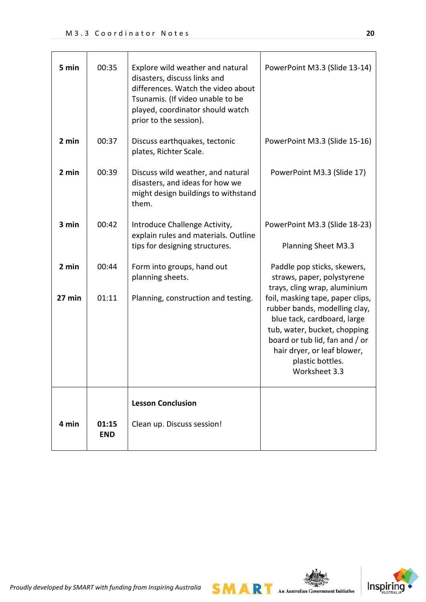| 5 min  | 00:35               | Explore wild weather and natural<br>disasters, discuss links and<br>differences. Watch the video about<br>Tsunamis. (If video unable to be<br>played, coordinator should watch<br>prior to the session). | PowerPoint M3.3 (Slide 13-14)                                                                                                                                                                                                          |
|--------|---------------------|----------------------------------------------------------------------------------------------------------------------------------------------------------------------------------------------------------|----------------------------------------------------------------------------------------------------------------------------------------------------------------------------------------------------------------------------------------|
| 2 min  | 00:37               | Discuss earthquakes, tectonic<br>plates, Richter Scale.                                                                                                                                                  | PowerPoint M3.3 (Slide 15-16)                                                                                                                                                                                                          |
| 2 min  | 00:39               | Discuss wild weather, and natural<br>disasters, and ideas for how we<br>might design buildings to withstand<br>them.                                                                                     | PowerPoint M3.3 (Slide 17)                                                                                                                                                                                                             |
| 3 min  | 00:42               | Introduce Challenge Activity,<br>explain rules and materials. Outline<br>tips for designing structures.                                                                                                  | PowerPoint M3.3 (Slide 18-23)<br>Planning Sheet M3.3                                                                                                                                                                                   |
| 2 min  | 00:44               | Form into groups, hand out<br>planning sheets.                                                                                                                                                           | Paddle pop sticks, skewers,<br>straws, paper, polystyrene<br>trays, cling wrap, aluminium                                                                                                                                              |
| 27 min | 01:11               | Planning, construction and testing.                                                                                                                                                                      | foil, masking tape, paper clips,<br>rubber bands, modelling clay,<br>blue tack, cardboard, large<br>tub, water, bucket, chopping<br>board or tub lid, fan and / or<br>hair dryer, or leaf blower,<br>plastic bottles.<br>Worksheet 3.3 |
| 4 min  | 01:15<br><b>END</b> | <b>Lesson Conclusion</b><br>Clean up. Discuss session!                                                                                                                                                   |                                                                                                                                                                                                                                        |



*Proudly developed by SMART with funding from Inspiring Australia*

**SMART** An Australian Government Initiative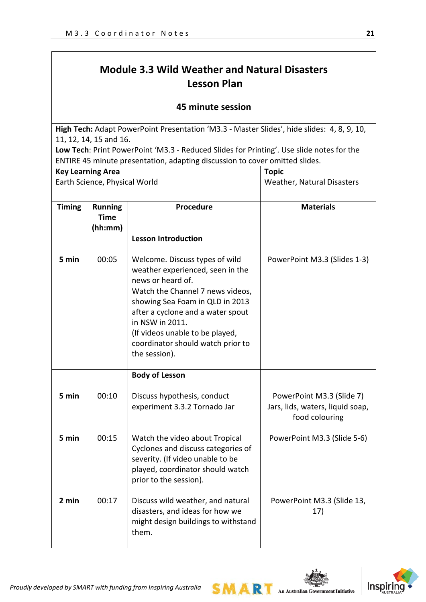# **Module 3.3 Wild Weather and Natural Disasters Lesson Plan**

### **45 minute session**

**High Tech:** Adapt PowerPoint Presentation 'M3.3 - Master Slides', hide slides: 4, 8, 9, 10, 11, 12, 14, 15 and 16.

**Low Tech**: Print PowerPoint 'M3.3 - Reduced Slides for Printing'. Use slide notes for the ENTIRE 45 minute presentation, adapting discussion to cover omitted slides.

| <b>Key Learning Area</b>      |                                          |                                                                                                                                                                                                                                                                                                                 | <b>Topic</b>                                                                    |
|-------------------------------|------------------------------------------|-----------------------------------------------------------------------------------------------------------------------------------------------------------------------------------------------------------------------------------------------------------------------------------------------------------------|---------------------------------------------------------------------------------|
| Earth Science, Physical World |                                          |                                                                                                                                                                                                                                                                                                                 | Weather, Natural Disasters                                                      |
|                               |                                          |                                                                                                                                                                                                                                                                                                                 |                                                                                 |
| <b>Timing</b>                 | <b>Running</b><br><b>Time</b><br>(hh:mm) | Procedure                                                                                                                                                                                                                                                                                                       | <b>Materials</b>                                                                |
|                               |                                          | <b>Lesson Introduction</b>                                                                                                                                                                                                                                                                                      |                                                                                 |
| 5 min                         | 00:05                                    | Welcome. Discuss types of wild<br>weather experienced, seen in the<br>news or heard of.<br>Watch the Channel 7 news videos,<br>showing Sea Foam in QLD in 2013<br>after a cyclone and a water spout<br>in NSW in 2011.<br>(If videos unable to be played,<br>coordinator should watch prior to<br>the session). | PowerPoint M3.3 (Slides 1-3)                                                    |
|                               |                                          | <b>Body of Lesson</b>                                                                                                                                                                                                                                                                                           |                                                                                 |
| 5 min                         | 00:10                                    | Discuss hypothesis, conduct<br>experiment 3.3.2 Tornado Jar                                                                                                                                                                                                                                                     | PowerPoint M3.3 (Slide 7)<br>Jars, lids, waters, liquid soap,<br>food colouring |
| 5 min                         | 00:15                                    | Watch the video about Tropical<br>Cyclones and discuss categories of<br>severity. (If video unable to be<br>played, coordinator should watch<br>prior to the session).                                                                                                                                          | PowerPoint M3.3 (Slide 5-6)                                                     |
| 2 min                         | 00:17                                    | Discuss wild weather, and natural<br>disasters, and ideas for how we<br>might design buildings to withstand<br>them.                                                                                                                                                                                            | PowerPoint M3.3 (Slide 13,<br>17)                                               |

SMAR



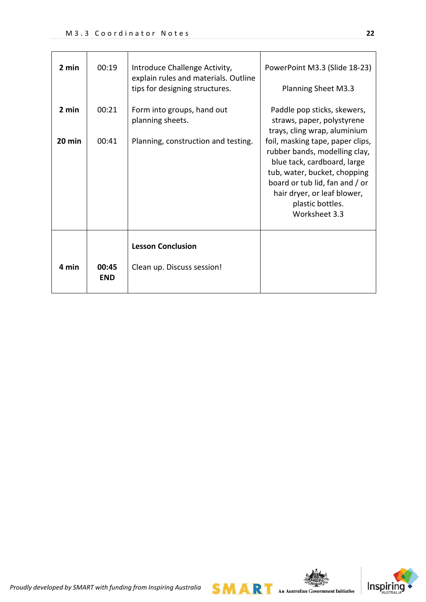| 2 min           | 00:19               | Introduce Challenge Activity,<br>explain rules and materials. Outline<br>tips for designing structures. | PowerPoint M3.3 (Slide 18-23)<br>Planning Sheet M3.3                                                                                                                                                                                                                                                                                |
|-----------------|---------------------|---------------------------------------------------------------------------------------------------------|-------------------------------------------------------------------------------------------------------------------------------------------------------------------------------------------------------------------------------------------------------------------------------------------------------------------------------------|
| 2 min<br>20 min | 00:21<br>00:41      | Form into groups, hand out<br>planning sheets.<br>Planning, construction and testing.                   | Paddle pop sticks, skewers,<br>straws, paper, polystyrene<br>trays, cling wrap, aluminium<br>foil, masking tape, paper clips,<br>rubber bands, modelling clay,<br>blue tack, cardboard, large<br>tub, water, bucket, chopping<br>board or tub lid, fan and / or<br>hair dryer, or leaf blower,<br>plastic bottles.<br>Worksheet 3.3 |
| 4 min           | 00:45<br><b>END</b> | <b>Lesson Conclusion</b><br>Clean up. Discuss session!                                                  |                                                                                                                                                                                                                                                                                                                                     |

 $SMAR$  An Australian Government Initiative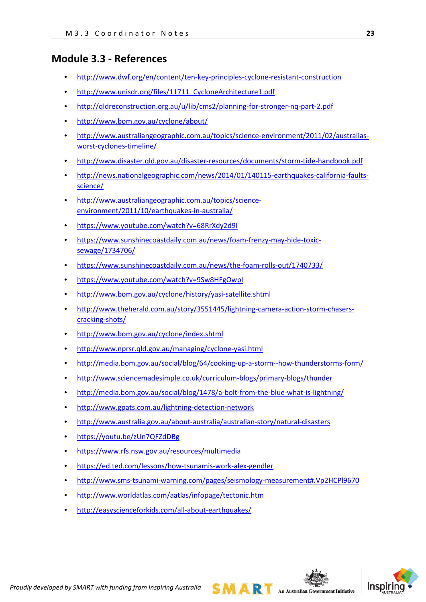## **Module 3.3 - References**

- <http://www.dwf.org/en/content/ten-key-principles-cyclone-resistant-construction>
- http://www.unisdr.org/files/11711 CycloneArchitecture1.pdf
- <http://qldreconstruction.org.au/u/lib/cms2/planning-for-stronger-nq-part-2.pdf>
- <http://www.bom.gov.au/cyclone/about/>
- [http://www.australiangeographic.com.au/topics/science-environment/2011/02/australias](http://www.australiangeographic.com.au/topics/science-environment/2011/02/australias-worst-cyclones-timeline/)[worst-cyclones-timeline/](http://www.australiangeographic.com.au/topics/science-environment/2011/02/australias-worst-cyclones-timeline/)
- <http://www.disaster.qld.gov.au/disaster-resources/documents/storm-tide-handbook.pdf>
- [http://news.nationalgeographic.com/news/2014/01/140115-earthquakes-california-faults](http://news.nationalgeographic.com/news/2014/01/140115-earthquakes-california-faults-science/)[science/](http://news.nationalgeographic.com/news/2014/01/140115-earthquakes-california-faults-science/)
- [http://www.australiangeographic.com.au/topics/science](http://www.australiangeographic.com.au/topics/science-environment/2011/10/earthquakes-in-australia/)[environment/2011/10/earthquakes-in-australia/](http://www.australiangeographic.com.au/topics/science-environment/2011/10/earthquakes-in-australia/)
- <https://www.youtube.com/watch?v=68RrXdy2d9I>
- [https://www.sunshinecoastdaily.com.au/news/foam-frenzy-may-hide-toxic](https://www.sunshinecoastdaily.com.au/news/foam-frenzy-may-hide-toxic-sewage/1734706/)[sewage/1734706/](https://www.sunshinecoastdaily.com.au/news/foam-frenzy-may-hide-toxic-sewage/1734706/)
- <https://www.sunshinecoastdaily.com.au/news/the-foam-rolls-out/1740733/>
- <https://www.youtube.com/watch?v=9Sw8HFgOwpI>
- <http://www.bom.gov.au/cyclone/history/yasi-satellite.shtml>
- [http://www.theherald.com.au/story/3551445/lightning-camera-action-storm-chasers](http://www.theherald.com.au/story/3551445/lightning-camera-action-storm-chasers-cracking-shots/)[cracking-shots/](http://www.theherald.com.au/story/3551445/lightning-camera-action-storm-chasers-cracking-shots/)
- <http://www.bom.gov.au/cyclone/index.shtml>
- <http://www.nprsr.qld.gov.au/managing/cyclone-yasi.html>
- <http://media.bom.gov.au/social/blog/64/cooking-up-a-storm--how-thunderstorms-form/>
- <http://www.sciencemadesimple.co.uk/curriculum-blogs/primary-blogs/thunder>
- <http://media.bom.gov.au/social/blog/1478/a-bolt-from-the-blue-what-is-lightning/>
- <http://www.gpats.com.au/lightning-detection-network>
- <http://www.australia.gov.au/about-australia/australian-story/natural-disasters>
- <https://youtu.be/zUn7QFZdDBg>
- <https://www.rfs.nsw.gov.au/resources/multimedia>
- <https://ed.ted.com/lessons/how-tsunamis-work-alex-gendler>
- [http://www.sms-tsunami-warning.com/pages/seismology-measurement#.Vp2HCPl9670](http://www.sms-tsunami-warning.com/pages/seismology-measurement)
- <http://www.worldatlas.com/aatlas/infopage/tectonic.htm>
- <http://easyscienceforkids.com/all-about-earthquakes/>

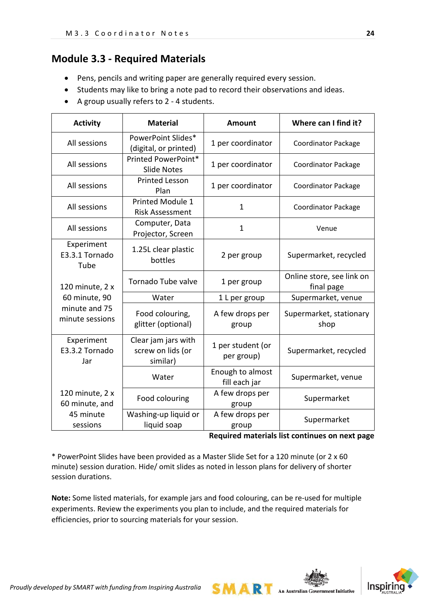## **Module 3.3 - Required Materials**

- Pens, pencils and writing paper are generally required every session.
- Students may like to bring a note pad to record their observations and ideas.
- A group usually refers to 2 4 students.

| <b>Activity</b>                      | <b>Material</b>                                      | <b>Amount</b>                     | Where can I find it?                    |
|--------------------------------------|------------------------------------------------------|-----------------------------------|-----------------------------------------|
| All sessions                         | PowerPoint Slides*<br>(digital, or printed)          | 1 per coordinator                 | <b>Coordinator Package</b>              |
| All sessions                         | Printed PowerPoint*<br><b>Slide Notes</b>            | 1 per coordinator                 | Coordinator Package                     |
| All sessions                         | <b>Printed Lesson</b><br>Plan                        | 1 per coordinator                 | <b>Coordinator Package</b>              |
| All sessions                         | Printed Module 1<br><b>Risk Assessment</b>           | 1                                 | <b>Coordinator Package</b>              |
| All sessions                         | Computer, Data<br>Projector, Screen                  | $\mathbf{1}$                      | Venue                                   |
| Experiment<br>E3.3.1 Tornado<br>Tube | 1.25L clear plastic<br>bottles                       | 2 per group                       | Supermarket, recycled                   |
| 120 minute, 2 x                      | Tornado Tube valve                                   | 1 per group                       | Online store, see link on<br>final page |
| 60 minute, 90                        | Water                                                | 1 L per group                     | Supermarket, venue                      |
| minute and 75<br>minute sessions     | Food colouring,<br>glitter (optional)                | A few drops per<br>group          | Supermarket, stationary<br>shop         |
| Experiment<br>E3.3.2 Tornado<br>Jar  | Clear jam jars with<br>screw on lids (or<br>similar) | 1 per student (or<br>per group)   | Supermarket, recycled                   |
|                                      | Water                                                | Enough to almost<br>fill each jar | Supermarket, venue                      |
| 120 minute, 2 x<br>60 minute, and    | Food colouring                                       | A few drops per<br>group          | Supermarket                             |
| 45 minute<br>sessions                | Washing-up liquid or<br>liquid soap                  | A few drops per<br>group          | Supermarket                             |

**Required materials list continues on next page**

\* PowerPoint Slides have been provided as a Master Slide Set for a 120 minute (or 2 x 60 minute) session duration. Hide/ omit slides as noted in lesson plans for delivery of shorter session durations.

**Note:** Some listed materials, for example jars and food colouring, can be re-used for multiple experiments. Review the experiments you plan to include, and the required materials for efficiencies, prior to sourcing materials for your session.

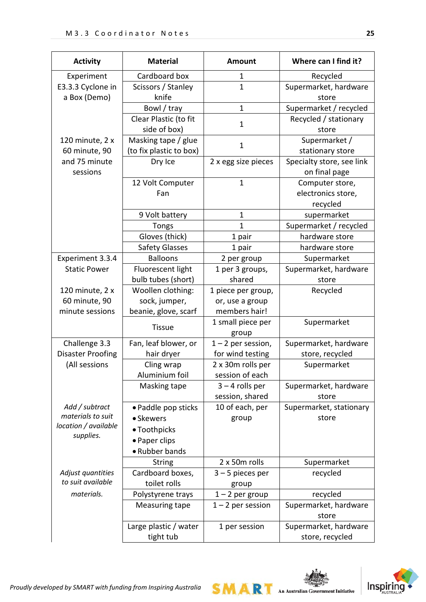| <b>Activity</b>           | <b>Material</b>         | <b>Amount</b>              | Where can I find it?                       |
|---------------------------|-------------------------|----------------------------|--------------------------------------------|
| Experiment                | Cardboard box           | 1                          | Recycled                                   |
| E3.3.3 Cyclone in         | Scissors / Stanley      | $\mathbf{1}$               | Supermarket, hardware                      |
| a Box (Demo)              | knife                   |                            | store                                      |
|                           | Bowl / tray             | $\mathbf{1}$               | Supermarket / recycled                     |
|                           | Clear Plastic (to fit   | $\mathbf{1}$               | Recycled / stationary                      |
|                           | side of box)            |                            | store                                      |
| 120 minute, 2 x           | Masking tape / glue     | $\mathbf{1}$               | Supermarket /                              |
| 60 minute, 90             | (to fix plastic to box) |                            | stationary store                           |
| and 75 minute<br>sessions | Dry Ice                 | 2 x egg size pieces        | Specialty store, see link<br>on final page |
|                           | 12 Volt Computer        | $\mathbf{1}$               | Computer store,                            |
|                           | Fan                     |                            | electronics store,                         |
|                           |                         |                            | recycled                                   |
|                           | 9 Volt battery          | 1                          | supermarket                                |
|                           | <b>Tongs</b>            | 1                          | Supermarket / recycled                     |
|                           | Gloves (thick)          | 1 pair                     | hardware store                             |
|                           | <b>Safety Glasses</b>   | 1 pair                     | hardware store                             |
| Experiment 3.3.4          | <b>Balloons</b>         | 2 per group                | Supermarket                                |
| <b>Static Power</b>       | Fluorescent light       | 1 per 3 groups,            | Supermarket, hardware                      |
|                           | bulb tubes (short)      | shared                     | store                                      |
| 120 minute, 2 x           | Woollen clothing:       | 1 piece per group,         | Recycled                                   |
| 60 minute, 90             | sock, jumper,           | or, use a group            |                                            |
| minute sessions           | beanie, glove, scarf    | members hair!              |                                            |
|                           | <b>Tissue</b>           | 1 small piece per<br>group | Supermarket                                |
| Challenge 3.3             | Fan, leaf blower, or    | $1 - 2$ per session,       | Supermarket, hardware                      |
| <b>Disaster Proofing</b>  | hair dryer              | for wind testing           | store, recycled                            |
| (All sessions             | Cling wrap              | 2 x 30m rolls per          | Supermarket                                |
|                           | Aluminium foil          | session of each            |                                            |
|                           | Masking tape            | $3 - 4$ rolls per          | Supermarket, hardware                      |
|                           |                         | session, shared            | store                                      |
| Add / subtract            | • Paddle pop sticks     | 10 of each, per            | Supermarket, stationary                    |
| materials to suit         | • Skewers               | group                      | store                                      |
| location / available      | • Toothpicks            |                            |                                            |
| supplies.                 | • Paper clips           |                            |                                            |
|                           | • Rubber bands          |                            |                                            |
|                           | <b>String</b>           | 2 x 50m rolls              | Supermarket                                |
| Adjust quantities         | Cardboard boxes,        | $3 - 5$ pieces per         | recycled                                   |
| to suit available         | toilet rolls            | group                      |                                            |
| materials.                | Polystyrene trays       | $1 - 2$ per group          | recycled                                   |
|                           | Measuring tape          | $1 - 2$ per session        | Supermarket, hardware<br>store             |
|                           | Large plastic / water   | 1 per session              | Supermarket, hardware                      |
|                           | tight tub               |                            | store, recycled                            |